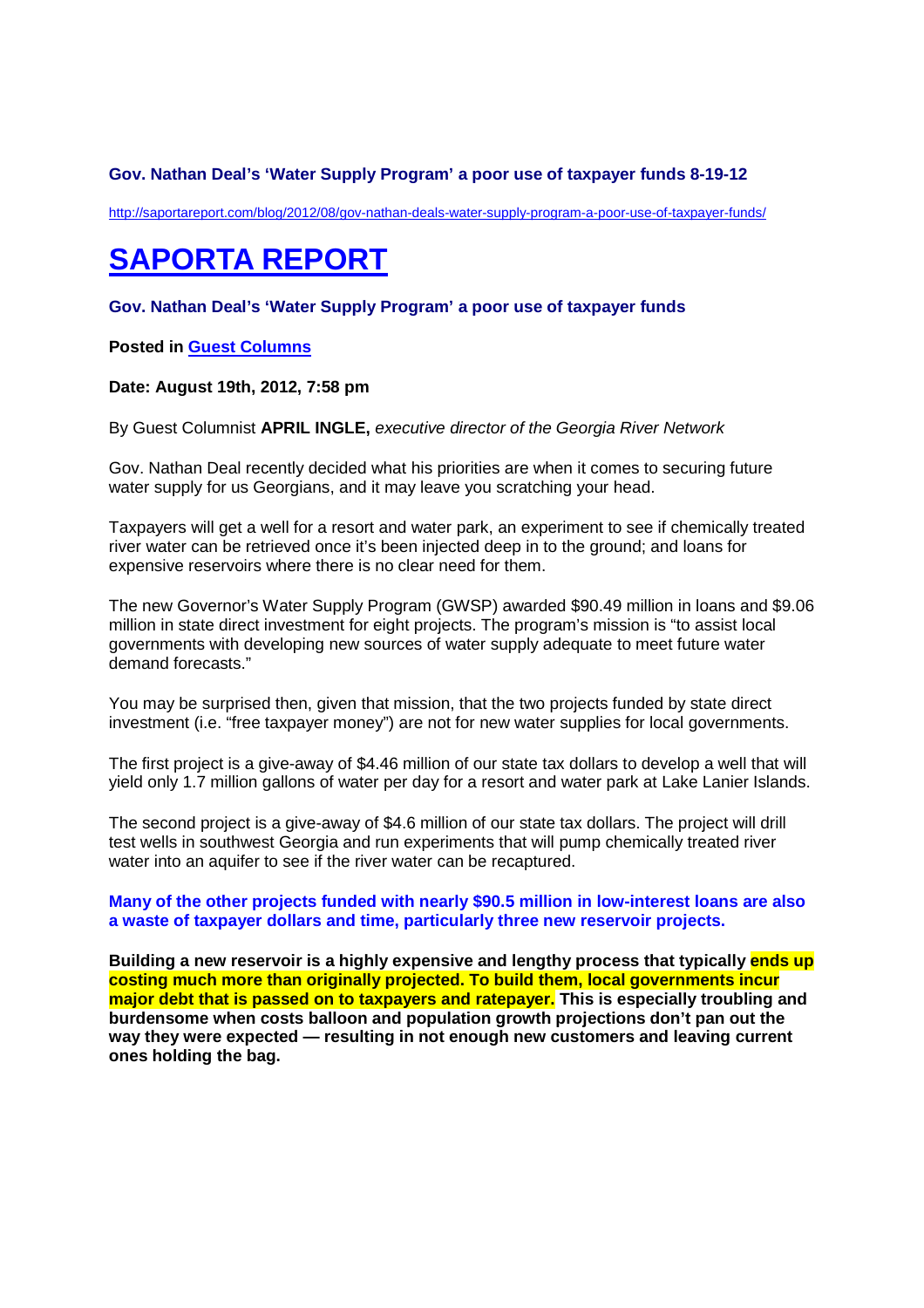# **Gov. Nathan Deal's 'Water Supply Program' a poor use of taxpayer funds 8-19-12**

http://saportareport.com/blog/2012/08/gov-nathan-deals-water-supply-program-a-poor-use-of-taxpayer-funds/

# **SAPORTA REPORT**

## **Gov. Nathan Deal's 'Water Supply Program' a poor use of taxpayer funds**

## **Posted in Guest Columns**

#### **Date: August 19th, 2012, 7:58 pm**

By Guest Columnist **APRIL INGLE,** executive director of the Georgia River Network

Gov. Nathan Deal recently decided what his priorities are when it comes to securing future water supply for us Georgians, and it may leave you scratching your head.

Taxpayers will get a well for a resort and water park, an experiment to see if chemically treated river water can be retrieved once it's been injected deep in to the ground; and loans for expensive reservoirs where there is no clear need for them.

The new Governor's Water Supply Program (GWSP) awarded \$90.49 million in loans and \$9.06 million in state direct investment for eight projects. The program's mission is "to assist local governments with developing new sources of water supply adequate to meet future water demand forecasts."

You may be surprised then, given that mission, that the two projects funded by state direct investment (i.e. "free taxpayer money") are not for new water supplies for local governments.

The first project is a give-away of \$4.46 million of our state tax dollars to develop a well that will yield only 1.7 million gallons of water per day for a resort and water park at Lake Lanier Islands.

The second project is a give-away of \$4.6 million of our state tax dollars. The project will drill test wells in southwest Georgia and run experiments that will pump chemically treated river water into an aquifer to see if the river water can be recaptured.

#### **Many of the other projects funded with nearly \$90.5 million in low-interest loans are also a waste of taxpayer dollars and time, particularly three new reservoir projects.**

**Building a new reservoir is a highly expensive and lengthy process that typically ends up costing much more than originally projected. To build them, local governments incur major debt that is passed on to taxpayers and ratepayer. This is especially troubling and burdensome when costs balloon and population growth projections don't pan out the way they were expected — resulting in not enough new customers and leaving current ones holding the bag.**